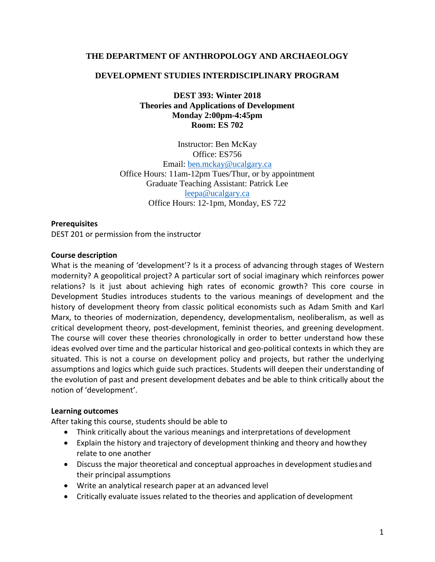### **THE DEPARTMENT OF ANTHROPOLOGY AND ARCHAEOLOGY**

### **DEVELOPMENT STUDIES INTERDISCIPLINARY PROGRAM**

**DEST 393: Winter 2018 Theories and Applications of Development Monday 2:00pm-4:45pm Room: ES 702**

Instructor: Ben McKay Office: ES756 Email: [ben.mckay@ucalgary.ca](mailto:ben.mckay@ucalgary.ca) Office Hours: 11am-12pm Tues/Thur, or by appointment Graduate Teaching Assistant: Patrick Lee [leepa@ucalgary.ca](mailto:leepa@ucalgary.ca) Office Hours: 12-1pm, Monday, ES 722

### **Prerequisites**

DEST 201 or permission from the instructor

### **Course description**

What is the meaning of 'development'? Is it a process of advancing through stages of Western modernity? A geopolitical project? A particular sort of social imaginary which reinforces power relations? Is it just about achieving high rates of economic growth? This core course in Development Studies introduces students to the various meanings of development and the history of development theory from classic political economists such as Adam Smith and Karl Marx, to theories of modernization, dependency, developmentalism, neoliberalism, as well as critical development theory, post-development, feminist theories, and greening development. The course will cover these theories chronologically in order to better understand how these ideas evolved over time and the particular historical and geo-political contexts in which they are situated. This is not a course on development policy and projects, but rather the underlying assumptions and logics which guide such practices. Students will deepen their understanding of the evolution of past and present development debates and be able to think critically about the notion of 'development'.

### **Learning outcomes**

After taking this course, students should be able to

- Think critically about the various meanings and interpretations of development
- Explain the history and trajectory of development thinking and theory and howthey relate to one another
- Discuss the major theoretical and conceptual approaches in development studiesand their principal assumptions
- Write an analytical research paper at an advanced level
- Critically evaluate issues related to the theories and application of development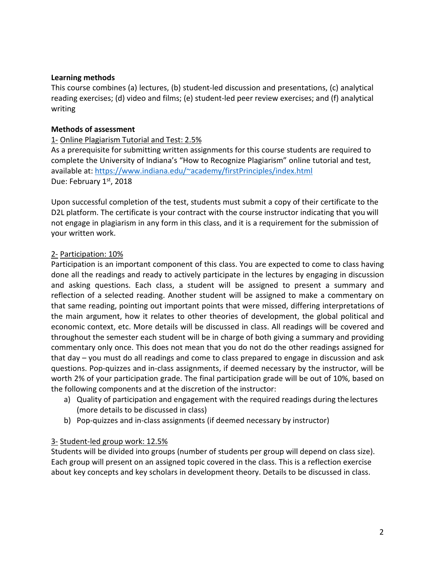### **Learning methods**

This course combines (a) lectures, (b) student-led discussion and presentations, (c) analytical reading exercises; (d) video and films; (e) student-led peer review exercises; and (f) analytical writing

### **Methods of assessment**

## 1- Online Plagiarism Tutorial and Test: 2.5%

As a prerequisite for submitting written assignments for this course students are required to complete the University of Indiana's "How to Recognize Plagiarism" online tutorial and test, available at[: https://www.indiana.edu/~academy/firstPrinciples/index.html](https://www.indiana.edu/%7Eacademy/firstPrinciples/index.html) Due: February 1st, 2018

Upon successful completion of the test, students must submit a copy of their certificate to the D2L platform. The certificate is your contract with the course instructor indicating that you will not engage in plagiarism in any form in this class, and it is a requirement for the submission of your written work.

### 2- Participation: 10%

Participation is an important component of this class. You are expected to come to class having done all the readings and ready to actively participate in the lectures by engaging in discussion and asking questions. Each class, a student will be assigned to present a summary and reflection of a selected reading. Another student will be assigned to make a commentary on that same reading, pointing out important points that were missed, differing interpretations of the main argument, how it relates to other theories of development, the global political and economic context, etc. More details will be discussed in class. All readings will be covered and throughout the semester each student will be in charge of both giving a summary and providing commentary only once. This does not mean that you do not do the other readings assigned for that day – you must do all readings and come to class prepared to engage in discussion and ask questions. Pop-quizzes and in-class assignments, if deemed necessary by the instructor, will be worth 2% of your participation grade. The final participation grade will be out of 10%, based on the following components and at the discretion of the instructor:

- a) Quality of participation and engagement with the required readings during thelectures (more details to be discussed in class)
- b) Pop-quizzes and in-class assignments (if deemed necessary by instructor)

### 3- Student-led group work: 12.5%

Students will be divided into groups (number of students per group will depend on class size). Each group will present on an assigned topic covered in the class. This is a reflection exercise about key concepts and key scholars in development theory. Details to be discussed in class.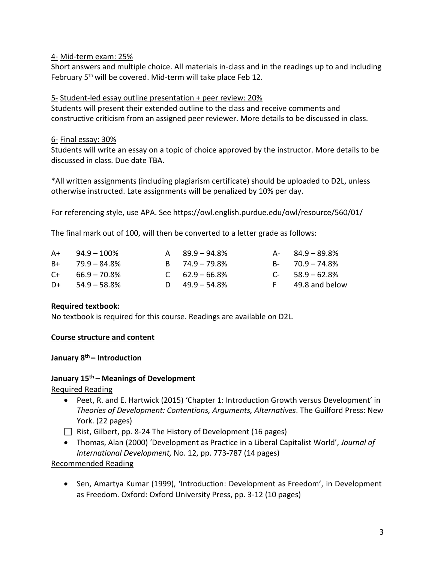## 4- Mid-term exam: 25%

Short answers and multiple choice. All materials in-class and in the readings up to and including February 5<sup>th</sup> will be covered. Mid-term will take place Feb 12.

## 5- Student-led essay outline presentation + peer review: 20%

Students will present their extended outline to the class and receive comments and constructive criticism from an assigned peer reviewer. More details to be discussed in class.

## 6- Final essay: 30%

Students will write an essay on a topic of choice approved by the instructor. More details to be discussed in class. Due date TBA.

\*All written assignments (including plagiarism certificate) should be uploaded to D2L, unless otherwise instructed. Late assignments will be penalized by 10% per day.

For referencing style, use APA. See https://owl.english.purdue.edu/owl/resource/560/01/

The final mark out of 100, will then be converted to a letter grade as follows:

| $A+$ 94.9 – 100%     | $A = 89.9 - 94.8\%$ | $A - 84.9 - 89.8\%$ |
|----------------------|---------------------|---------------------|
| $B+$ 79.9 – 84.8%    | $B = 74.9 - 79.8\%$ | $B - 70.9 - 74.8\%$ |
| $C_{+}$ 66.9 – 70.8% | $C = 62.9 - 66.8\%$ | $C-58.9-62.8%$      |
| $D+$ 54.9 – 58.8%    | D $49.9 - 54.8\%$   | F 49.8 and below    |

## **Required textbook:**

No textbook is required for this course. Readings are available on D2L.

## **Course structure and content**

# **January 8th – Introduction**

### **January 15th – Meanings of Development**

Required Reading

- Peet, R. and E. Hartwick (2015) 'Chapter 1: Introduction Growth versus Development' in *Theories of Development: Contentions, Arguments, Alternatives*. The Guilford Press: New York. (22 pages)
- Rist, Gilbert, pp. 8-24 The History of Development (16 pages)
- Thomas, Alan (2000) 'Development as Practice in a Liberal Capitalist World', *Journal of International Development,* No. 12, pp. 773-787 (14 pages)

### Recommended Reading

• Sen, Amartya Kumar (1999), 'Introduction: Development as Freedom', in Development as Freedom. Oxford: Oxford University Press, pp. 3-12 (10 pages)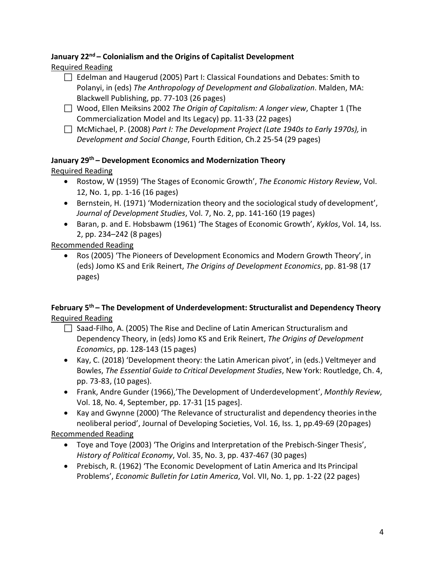### **January 22nd – Colonialism and the Origins of Capitalist Development** Required Reading

- □ Edelman and Haugerud (2005) Part I: Classical Foundations and Debates: Smith to Polanyi, in (eds) *The Anthropology of Development and Globalization*. Malden, MA: Blackwell Publishing, pp. 77-103 (26 pages)
- Wood, Ellen Meiksins 2002 *The Origin of Capitalism: A longer view*, Chapter 1 (The Commercialization Model and Its Legacy) pp. 11-33 (22 pages)
- McMichael, P. (2008) *Part I: The Development Project (Late 1940s to Early 1970s),* in *Development and Social Change*, Fourth Edition, Ch.2 25-54 (29 pages)

# **January 29th – Development Economics and Modernization Theory**

Required Reading

- Rostow, W (1959) 'The Stages of Economic Growth', *The Economic History Review*, Vol. 12, No. 1, pp. 1-16 (16 pages)
- Bernstein, H. (1971) 'Modernization theory and the sociological study of development', *Journal of Development Studies*, Vol. 7, No. 2, pp. 141-160 (19 pages)
- Baran, p. and E. Hobsbawm (1961) 'The Stages of Economic Growth', *Kyklos*, Vol. 14, Iss. 2, pp. 234–242 (8 pages)

Recommended Reading

• Ros (2005) 'The Pioneers of Development Economics and Modern Growth Theory', in (eds) Jomo KS and Erik Reinert, *The Origins of Development Economics*, pp. 81-98 (17 pages)

# **February 5th – The Development of Underdevelopment: Structuralist and Dependency Theory** Required Reading

- $\Box$  Saad-Filho, A. (2005) The Rise and Decline of Latin American Structuralism and Dependency Theory, in (eds) Jomo KS and Erik Reinert, *The Origins of Development Economics*, pp. 128-143 (15 pages)
- Kay, C. (2018) 'Development theory: the Latin American pivot', in (eds.) Veltmeyer and Bowles, *The Essential Guide to Critical Development Studies*, New York: Routledge, Ch. 4, pp. 73-83, (10 pages).
- Frank, Andre Gunder (1966),'The Development of Underdevelopment', *Monthly Review*, Vol. 18, No. 4, September, pp. 17-31 [15 pages].
- Kay and Gwynne (2000) 'The Relevance of structuralist and dependency theories inthe neoliberal period', Journal of Developing Societies, Vol. 16, Iss. 1, pp.49-69 (20pages)

# Recommended Reading

- Toye and Toye (2003) 'The Origins and Interpretation of the Prebisch-Singer Thesis', *History of Political Economy*, Vol. 35, No. 3, pp. 437-467 (30 pages)
- Prebisch, R. (1962) 'The Economic Development of Latin America and Its Principal Problems', *Economic Bulletin for Latin America*, Vol. VII, No. 1, pp. 1-22 (22 pages)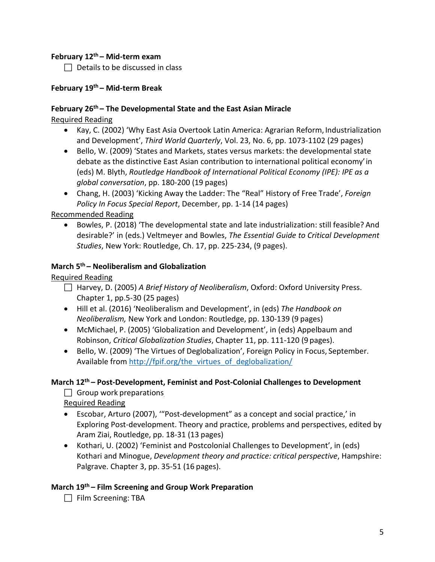# **February 12th – Mid-term exam**

 $\Box$  Details to be discussed in class

## **February 19th – Mid-term Break**

## **February 26th – The Developmental State and the East Asian Miracle**

Required Reading

- Kay, C. (2002) 'Why East Asia Overtook Latin America: Agrarian Reform, Industrialization and Development', *Third World Quarterly*, Vol. 23, No. 6, pp. 1073-1102 (29 pages)
- Bello, W. (2009) 'States and Markets, states versus markets: the developmental state debate as the distinctive East Asian contribution to international political economy'in (eds) M. Blyth, *Routledge Handbook of International Political Economy (IPE): IPE as a global conversation*, pp. 180-200 (19 pages)
- Chang, H. (2003) 'Kicking Away the Ladder: The "Real" History of Free Trade', *Foreign Policy In Focus Special Report*, December, pp. 1-14 (14 pages)

Recommended Reading

• Bowles, P. (2018) 'The developmental state and late industrialization: still feasible? And desirable?' in (eds.) Veltmeyer and Bowles, *The Essential Guide to Critical Development Studies*, New York: Routledge, Ch. 17, pp. 225-234, (9 pages).

# **March 5th – Neoliberalism and Globalization**

# Required Reading

- Harvey, D. (2005) *A Brief History of Neoliberalism*, Oxford: Oxford University Press. Chapter 1, pp.5-30 (25 pages)
- Hill et al. (2016) 'Neoliberalism and Development', in (eds) *The Handbook on Neoliberalism,* New York and London: Routledge, pp. 130-139 (9 pages)
- McMichael, P. (2005) 'Globalization and Development', in (eds) Appelbaum and Robinson, *Critical Globalization Studies*, Chapter 11, pp. 111-120 (9 pages).
- Bello, W. (2009) 'The Virtues of Deglobalization', Foreign Policy in Focus, September. Available fro[m http://fpif.org/the\\_virtues\\_of\\_deglobalization/](http://fpif.org/the_virtues_of_deglobalization/)

# **March 12th – Post-Development, Feminist and Post-Colonial Challenges to Development**

 $\Box$  Group work preparations

Required Reading

- Escobar, Arturo (2007), '"Post-development" as a concept and social practice,' in Exploring Post-development. Theory and practice, problems and perspectives, edited by Aram Ziai, Routledge, pp. 18-31 (13 pages)
- Kothari, U. (2002) 'Feminist and Postcolonial Challenges to Development', in (eds) Kothari and Minogue, *Development theory and practice: critical perspective*, Hampshire: Palgrave. Chapter 3, pp. 35-51 (16 pages).

# **March 19th – Film Screening and Group Work Preparation**

 $\Box$  Film Screening: TBA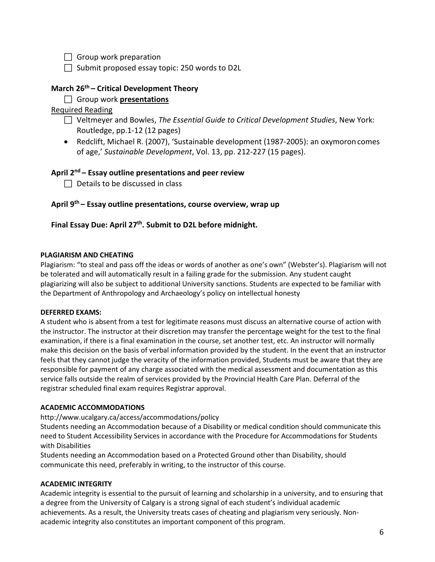$\Box$  Group work preparation

 $\Box$  Submit proposed essay topic: 250 words to D2L

# **March 26th – Critical Development Theory**

Group work **presentations**

Required Reading

- Veltmeyer and Bowles, *The Essential Guide to Critical Development Studies*, New York: Routledge, pp.1-12 (12 pages)
- Redclift, Michael R. (2007), 'Sustainable development (1987-2005): an oxymoron comes of age,' *Sustainable Development*, Vol. 13, pp. 212-227 (15 pages).

### **April 2nd – Essay outline presentations and peer review**

 $\Box$  Details to be discussed in class

### **April 9th – Essay outline presentations, course overview, wrap up**

### **Final Essay Due: April 27th. Submit to D2L before midnight.**

### **PLAGIARISM AND CHEATING**

Plagiarism: "to steal and pass off the ideas or words of another as one's own" (Webster's). Plagiarism will not be tolerated and will automatically result in a failing grade for the submission. Any student caught plagiarizing will also be subject to additional University sanctions. Students are expected to be familiar with the Department of Anthropology and Archaeology's policy on intellectual honesty

#### **DEFERRED EXAMS:**

A student who is absent from a test for legitimate reasons must discuss an alternative course of action with the instructor. The instructor at their discretion may transfer the percentage weight for the test to the final examination, if there is a final examination in the course, set another test, etc. An instructor will normally make this decision on the basis of verbal information provided by the student. In the event that an instructor feels that they cannot judge the veracity of the information provided, Students must be aware that they are responsible for payment of any charge associated with the medical assessment and documentation as this service falls outside the realm of services provided by the Provincial Health Care Plan. Deferral of the registrar scheduled final exam requires Registrar approval.

### **ACADEMIC ACCOMMODATIONS**

http://www.ucalgary.ca/access/accommodations/policy

Students needing an Accommodation because of a Disability or medical condition should communicate this need to Student Accessibility Services in accordance with the Procedure for Accommodations for Students with Disabilities

Students needing an Accommodation based on a Protected Ground other than Disability, should communicate this need, preferably in writing, to the instructor of this course.

### **ACADEMIC INTEGRITY**

Academic integrity is essential to the pursuit of learning and scholarship in a university, and to ensuring that a degree from the University of Calgary is a strong signal of each student's individual academic achievements. As a result, the University treats cases of cheating and plagiarism very seriously. Nonacademic integrity also constitutes an important component of this program.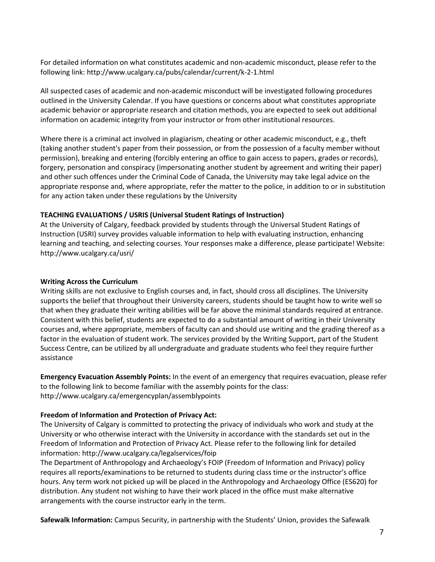For detailed information on what constitutes academic and non-academic misconduct, please refer to the following link: http://www.ucalgary.ca/pubs/calendar/current/k-2-1.html

All suspected cases of academic and non-academic misconduct will be investigated following procedures outlined in the University Calendar. If you have questions or concerns about what constitutes appropriate academic behavior or appropriate research and citation methods, you are expected to seek out additional information on academic integrity from your instructor or from other institutional resources.

Where there is a criminal act involved in plagiarism, cheating or other academic misconduct, e.g., theft (taking another student's paper from their possession, or from the possession of a faculty member without permission), breaking and entering (forcibly entering an office to gain access to papers, grades or records), forgery, personation and conspiracy (impersonating another student by agreement and writing their paper) and other such offences under the Criminal Code of Canada, the University may take legal advice on the appropriate response and, where appropriate, refer the matter to the police, in addition to or in substitution for any action taken under these regulations by the University

### **TEACHING EVALUATIONS / USRIS (Universal Student Ratings of Instruction)**

At the University of Calgary, feedback provided by students through the Universal Student Ratings of Instruction (USRI) survey provides valuable information to help with evaluating instruction, enhancing learning and teaching, and selecting courses. Your responses make a difference, please participate! Website: http://www.ucalgary.ca/usri/

#### **Writing Across the Curriculum**

Writing skills are not exclusive to English courses and, in fact, should cross all disciplines. The University supports the belief that throughout their University careers, students should be taught how to write well so that when they graduate their writing abilities will be far above the minimal standards required at entrance. Consistent with this belief, students are expected to do a substantial amount of writing in their University courses and, where appropriate, members of faculty can and should use writing and the grading thereof as a factor in the evaluation of student work. The services provided by the Writing Support, part of the Student Success Centre, can be utilized by all undergraduate and graduate students who feel they require further assistance

**Emergency Evacuation Assembly Points:** In the event of an emergency that requires evacuation, please refer to the following link to become familiar with the assembly points for the class: http://www.ucalgary.ca/emergencyplan/assemblypoints

#### **Freedom of Information and Protection of Privacy Act:**

The University of Calgary is committed to protecting the privacy of individuals who work and study at the University or who otherwise interact with the University in accordance with the standards set out in the Freedom of Information and Protection of Privacy Act. Please refer to the following link for detailed information: http://www.ucalgary.ca/legalservices/foip

The Department of Anthropology and Archaeology's FOIP (Freedom of Information and Privacy) policy requires all reports/examinations to be returned to students during class time or the instructor's office hours. Any term work not picked up will be placed in the Anthropology and Archaeology Office (ES620) for distribution. Any student not wishing to have their work placed in the office must make alternative arrangements with the course instructor early in the term.

**Safewalk Information:** Campus Security, in partnership with the Students' Union, provides the Safewalk